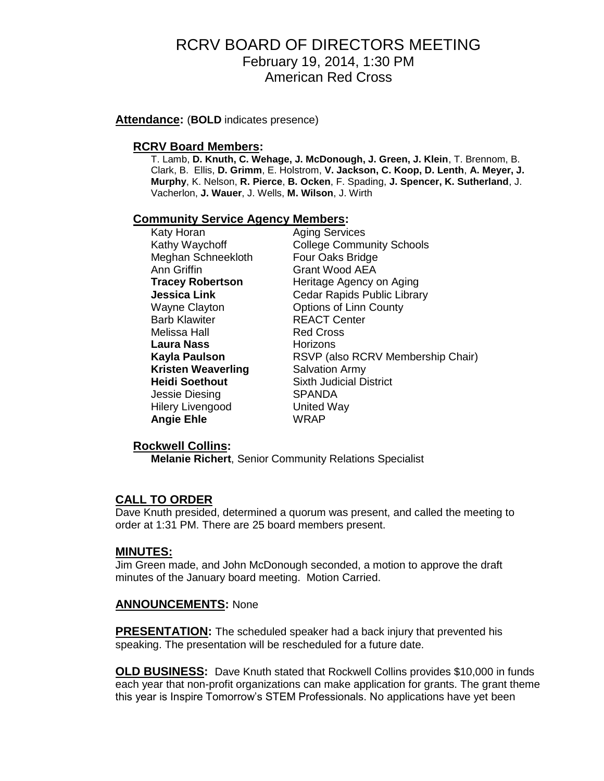### RCRV BOARD OF DIRECTORS MEETING February 19, 2014, 1:30 PM American Red Cross

**Attendance:** (**BOLD** indicates presence)

### **RCRV Board Members:**

T. Lamb, **D. Knuth, C. Wehage, J. McDonough, J. Green, J. Klein**, T. Brennom, B. Clark, B. Ellis, **D. Grimm**, E. Holstrom, **V. Jackson, C. Koop, D. Lenth**, **A. Meyer, J. Murphy**, K. Nelson, **R. Pierce**, **B. Ocken**, F. Spading, **J. Spencer, K. Sutherland**, J. Vacherlon, **J. Wauer**, J. Wells, **M. Wilson**, J. Wirth

#### **Community Service Agency Members:**

| Katy Horan              | <b>Aging Services</b>             |
|-------------------------|-----------------------------------|
| Kathy Waychoff          | <b>College Community Schools</b>  |
| Meghan Schneekloth      | Four Oaks Bridge                  |
| Ann Griffin             | Grant Wood AEA                    |
| <b>Tracey Robertson</b> | Heritage Agency on Aging          |
| Jessica Link            | Cedar Rapids Public Library       |
| Wayne Clayton           | Options of Linn County            |
| <b>Barb Klawiter</b>    | <b>REACT Center</b>               |
| Melissa Hall            | <b>Red Cross</b>                  |
| Laura Nass              | Horizons                          |
| Kayla Paulson           | RSVP (also RCRV Membership Chair) |
| Kristen Weaverling      | <b>Salvation Army</b>             |
| Heidi Soethout          | <b>Sixth Judicial District</b>    |
| Jessie Diesing          | <b>SPANDA</b>                     |
| <b>Hilery Livengood</b> | <b>United Way</b>                 |
| <b>Angie Ehle</b>       | <b>WRAP</b>                       |

### **Rockwell Collins:**

**Melanie Richert**, Senior Community Relations Specialist

### **CALL TO ORDER**

Dave Knuth presided, determined a quorum was present, and called the meeting to order at 1:31 PM. There are 25 board members present.

#### **MINUTES:**

Jim Green made, and John McDonough seconded, a motion to approve the draft minutes of the January board meeting. Motion Carried.

### **ANNOUNCEMENTS:** None

**PRESENTATION:** The scheduled speaker had a back injury that prevented his speaking. The presentation will be rescheduled for a future date.

**OLD BUSINESS:** Dave Knuth stated that Rockwell Collins provides \$10,000 in funds each year that non-profit organizations can make application for grants. The grant theme this year is Inspire Tomorrow's STEM Professionals. No applications have yet been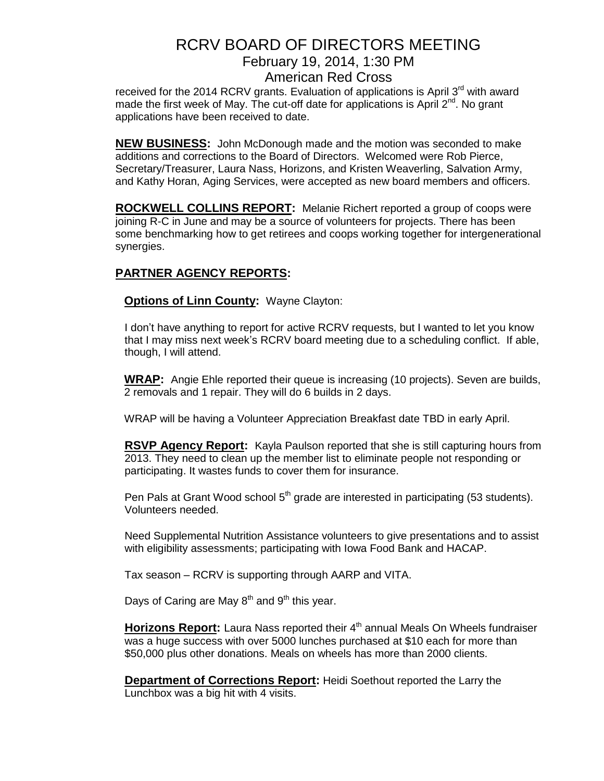## RCRV BOARD OF DIRECTORS MEETING February 19, 2014, 1:30 PM American Red Cross

received for the 2014 RCRV grants. Evaluation of applications is April  $3<sup>rd</sup>$  with award made the first week of May. The cut-off date for applications is April 2<sup>nd</sup>. No grant applications have been received to date.

**NEW BUSINESS:** John McDonough made and the motion was seconded to make additions and corrections to the Board of Directors. Welcomed were Rob Pierce, Secretary/Treasurer, Laura Nass, Horizons, and Kristen Weaverling, Salvation Army, and Kathy Horan, Aging Services, were accepted as new board members and officers.

**ROCKWELL COLLINS REPORT:** Melanie Richert reported a group of coops were joining R-C in June and may be a source of volunteers for projects. There has been some benchmarking how to get retirees and coops working together for intergenerational synergies.

### **PARTNER AGENCY REPORTS:**

**Options of Linn County:** Wayne Clayton:

I don't have anything to report for active RCRV requests, but I wanted to let you know that I may miss next week's RCRV board meeting due to a scheduling conflict. If able, though, I will attend.

**WRAP:** Angie Ehle reported their queue is increasing (10 projects). Seven are builds, 2 removals and 1 repair. They will do 6 builds in 2 days.

WRAP will be having a Volunteer Appreciation Breakfast date TBD in early April.

**RSVP Agency Report:** Kayla Paulson reported that she is still capturing hours from 2013. They need to clean up the member list to eliminate people not responding or participating. It wastes funds to cover them for insurance.

Pen Pals at Grant Wood school  $5<sup>th</sup>$  grade are interested in participating (53 students). Volunteers needed.

Need Supplemental Nutrition Assistance volunteers to give presentations and to assist with eligibility assessments; participating with Iowa Food Bank and HACAP.

Tax season – RCRV is supporting through AARP and VITA.

Days of Caring are May  $8<sup>th</sup>$  and  $9<sup>th</sup>$  this year.

**Horizons Report:** Laura Nass reported their 4<sup>th</sup> annual Meals On Wheels fundraiser was a huge success with over 5000 lunches purchased at \$10 each for more than \$50,000 plus other donations. Meals on wheels has more than 2000 clients.

**Department of Corrections Report:** Heidi Soethout reported the Larry the Lunchbox was a big hit with 4 visits.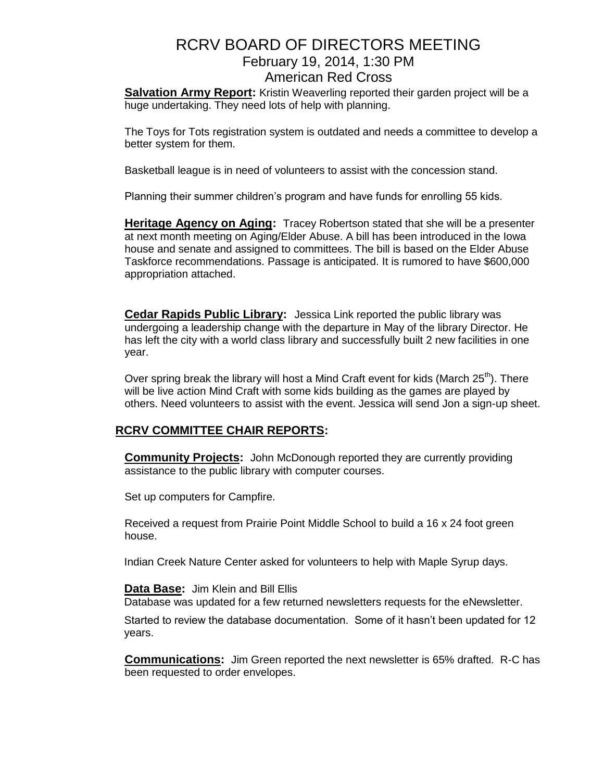# RCRV BOARD OF DIRECTORS MEETING February 19, 2014, 1:30 PM American Red Cross

**Salvation Army Report:** Kristin Weaverling reported their garden project will be a huge undertaking. They need lots of help with planning.

The Toys for Tots registration system is outdated and needs a committee to develop a better system for them.

Basketball league is in need of volunteers to assist with the concession stand.

Planning their summer children's program and have funds for enrolling 55 kids.

**Heritage Agency on Aging:** Tracey Robertson stated that she will be a presenter at next month meeting on Aging/Elder Abuse. A bill has been introduced in the Iowa house and senate and assigned to committees. The bill is based on the Elder Abuse Taskforce recommendations. Passage is anticipated. It is rumored to have \$600,000 appropriation attached.

**Cedar Rapids Public Library:** Jessica Link reported the public library was undergoing a leadership change with the departure in May of the library Director. He has left the city with a world class library and successfully built 2 new facilities in one year.

Over spring break the library will host a Mind Craft event for kids (March  $25<sup>th</sup>$ ). There will be live action Mind Craft with some kids building as the games are played by others. Need volunteers to assist with the event. Jessica will send Jon a sign-up sheet.

### **RCRV COMMITTEE CHAIR REPORTS:**

**Community Projects:** John McDonough reported they are currently providing assistance to the public library with computer courses.

Set up computers for Campfire.

Received a request from Prairie Point Middle School to build a 16 x 24 foot green house.

Indian Creek Nature Center asked for volunteers to help with Maple Syrup days.

**Data Base:** Jim Klein and Bill Ellis

Database was updated for a few returned newsletters requests for the eNewsletter.

Started to review the database documentation. Some of it hasn't been updated for 12 years.

**Communications:** Jim Green reported the next newsletter is 65% drafted. R-C has been requested to order envelopes.